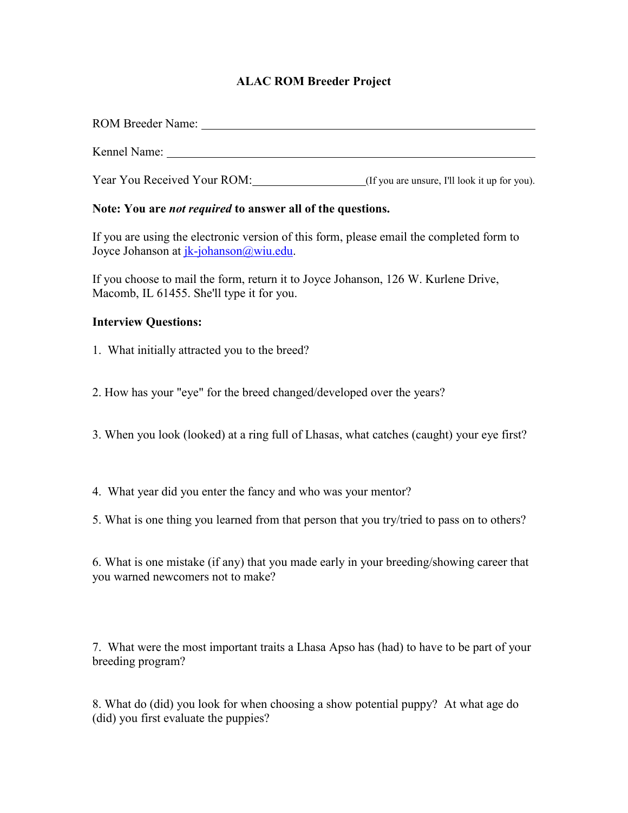## **ALAC ROM Breeder Project**

| Year You Received Your ROM: (If you are unsure, I'll look it up for you).                                                          |
|------------------------------------------------------------------------------------------------------------------------------------|
| Note: You are <i>not required</i> to answer all of the questions.                                                                  |
| If you are using the electronic version of this form, please email the completed form to<br>Joyce Johanson at jk-johanson@wiu.edu. |
| If you choose to mail the form, return it to Joyce Johanson, 126 W. Kurlene Drive,<br>Macomb, IL 61455. She'll type it for you.    |
| <b>Interview Questions:</b>                                                                                                        |
| 1. What initially attracted you to the breed?                                                                                      |
| 2. How has your "eye" for the breed changed/developed over the years?                                                              |
| 3. When you look (looked) at a ring full of Lhasas, what catches (caught) your eye first?                                          |

- 4. What year did you enter the fancy and who was your mentor?
- 5. What is one thing you learned from that person that you try/tried to pass on to others?

| 6. What is one mistake (if any) that you made early in your breeding/showing career that |
|------------------------------------------------------------------------------------------|
| you warned newcomers not to make?                                                        |

7. What were the most important traits a Lhasa Apso has (had) to have to be part of your breeding program?

8. What do (did) you look for when choosing a show potential puppy? At what age do (did) you first evaluate the puppies?